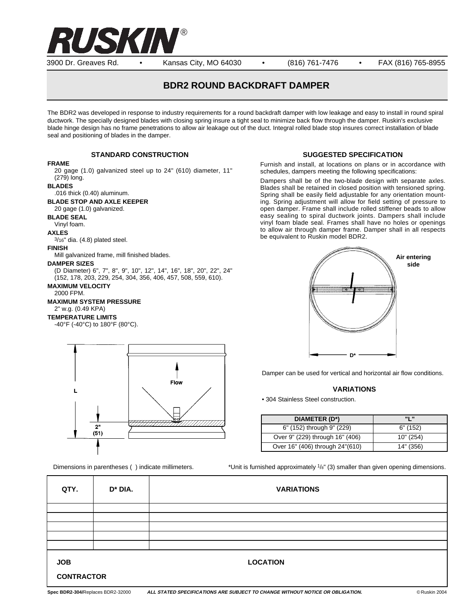

3900 Dr. Greaves Rd. • Kansas City, MO 64030 • (816) 761-7476 • FAX (816) 765-8955

# **BDR2 ROUND BACKDRAFT DAMPER**

The BDR2 was developed in response to industry requirements for a round backdraft damper with low leakage and easy to install in round spiral ductwork. The specially designed blades with closing spring insure a tight seal to minimize back flow through the damper. Ruskin's exclusive blade hinge design has no frame penetrations to allow air leakage out of the duct. Integral rolled blade stop insures correct installation of blade seal and positioning of blades in the damper.

# **STANDARD CONSTRUCTION**

#### **FRAME**

20 gage (1.0) galvanized steel up to 24" (610) diameter, 11" (279) long.

#### **BLADES**

.016 thick (0.40) aluminum.

#### **BLADE STOP AND AXLE KEEPER**

20 gage (1.0) galvanized.

**BLADE SEAL**

Vinyl foam.

**AXLES**

3/16" dia. (4.8) plated steel.

### **FINISH**

Mill galvanized frame, mill finished blades.

#### **DAMPER SIZES**

(D Diameter) 6", 7", 8", 9", 10", 12", 14", 16", 18", 20", 22", 24" (152, 178, 203, 229, 254, 304, 356, 406, 457, 508, 559, 610). **MAXIMUM VELOCITY**

## 2000 FPM.

**MAXIMUM SYSTEM PRESSURE** 2" w.g. (0.49 KPA)

#### **TEMPERATURE LIMITS**

-40°F (-40°C) to 180°F (80°C).



**SUGGESTED SPECIFICATION**

Furnish and install, at locations on plans or in accordance with schedules, dampers meeting the following specifications:

Dampers shall be of the two-blade design with separate axles. Blades shall be retained in closed position with tensioned spring. Spring shall be easily field adjustable for any orientation mounting. Spring adjustment will allow for field setting of pressure to open damper. Frame shall include rolled stiffener beads to allow easy sealing to spiral ductwork joints. Dampers shall include vinyl foam blade seal. Frames shall have no holes or openings to allow air through damper frame. Damper shall in all respects be equivalent to Ruskin model BDR2.



Damper can be used for vertical and horizontal air flow conditions.

### **VARIATIONS**

• 304 Stainless Steel construction.

| DIAMETER (D*)                   | <b>"I"</b> |
|---------------------------------|------------|
| 6" (152) through 9" (229)       | 6" (152)   |
| Over 9" (229) through 16" (406) | 10" (254)  |
| Over 16" (406) through 24"(610) | 14" (356)  |

Dimensions in parentheses () indicate millimeters.  $*$ Unit is furnished approximately  $\frac{1}{8}$ " (3) smaller than given opening dimensions.

| QTY.                            | D <sup>*</sup> DIA. | <b>VARIATIONS</b> |
|---------------------------------|---------------------|-------------------|
|                                 |                     |                   |
|                                 |                     |                   |
|                                 |                     |                   |
|                                 |                     |                   |
|                                 |                     |                   |
| <b>JOB</b><br><b>CONTRACTOR</b> |                     | <b>LOCATION</b>   |